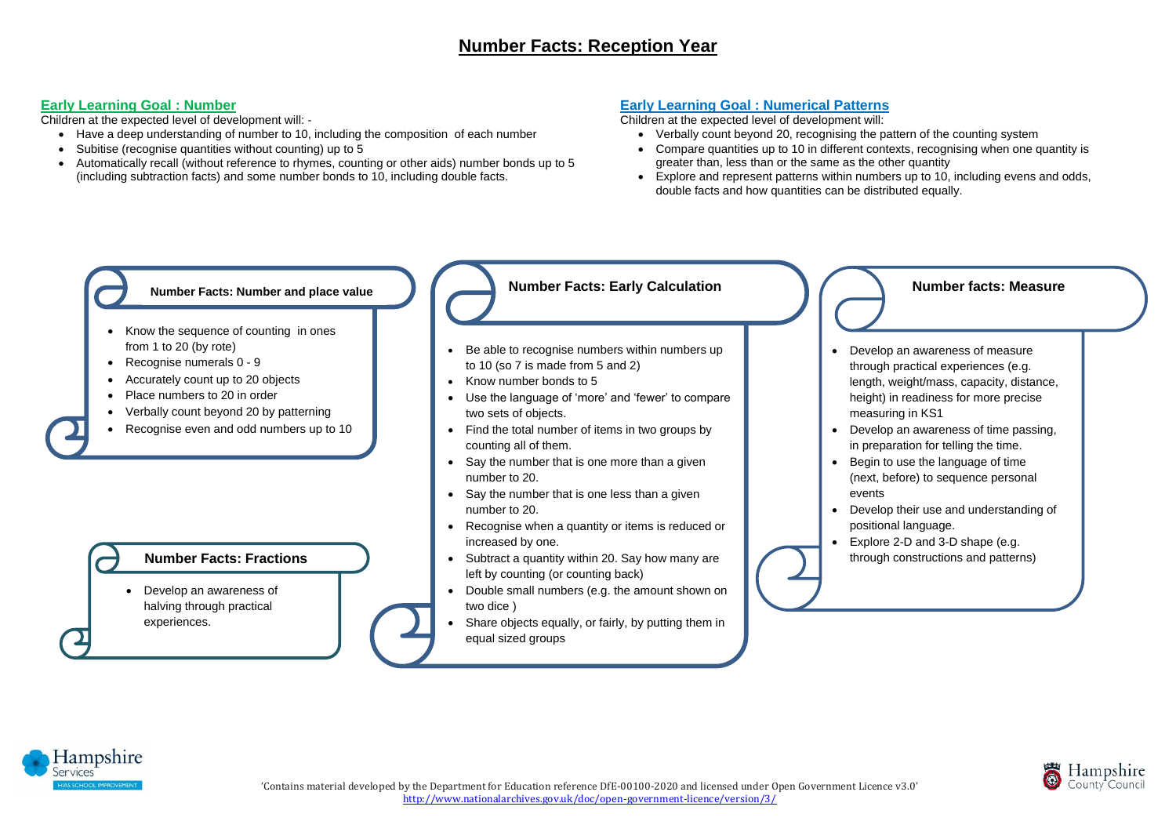## **Early Learning Goal : Number**

Children at the expected level of development will: -

- Have a deep understanding of number to 10, including the composition of each number
- Subitise (recognise quantities without counting) up to 5
- Automatically recall (without reference to rhymes, counting or other aids) number bonds up to 5 (including subtraction facts) and some number bonds to 10, including double facts.

### **Early Learning Goal : Numerical Patterns**

Children at the expected level of development will:

- Be able to recognise numbers within numbers up to 10 (so 7 is made from 5 and 2)
- Know number bonds to 5
- Use the language of 'more' and 'fewer' to compare two sets of objects.
- Find the total number of items in two groups by counting all of them.
- Say the number that is one more than a given number to 20.
- Say the number that is one less than a given number to 20.
- Recognise when a quantity or items is reduced or increased by one.
- Subtract a quantity within 20. Say how many are left by counting (or counting back)
- Double small numbers (e.g. the amount shown on two dice )
- Share objects equally, or fairly, by putting them in equal sized groups



- Verbally count beyond 20, recognising the pattern of the counting system • Compare quantities up to 10 in different contexts, recognising when one quantity is greater than, less than or the same as the other quantity • Explore and represent patterns within numbers up to 10, including evens and odds,
- 
- double facts and how quantities can be distributed equally.

# **Number Facts: Early Calculation**

- Develop an awareness of measure through practical experiences (e.g. length, weight/mass, capacity, distance, height) in readiness for more precise measuring in KS1 • Develop an awareness of time passing,
	- in preparation for telling the time.
- Begin to use the language of time
	- (next, before) to sequence personal
- Explore 2-D and 3-D shape (e.g.
	- through constructions and patterns)



- 
- 
- events
- Develop their use and understanding of positional language.
- 



#### **Number facts: Measure**

- Know the sequence of counting in ones from 1 to 20 (by rote)
- Recognise numerals 0 9
- Accurately count up to 20 objects
- Place numbers to 20 in order
- Verbally count beyond 20 by patterning
- Recognise even and odd numbers up to 10

#### **Number Facts: Number and place value**

• Develop an awareness of halving through practical experiences.

#### **Number Facts: Fractions**